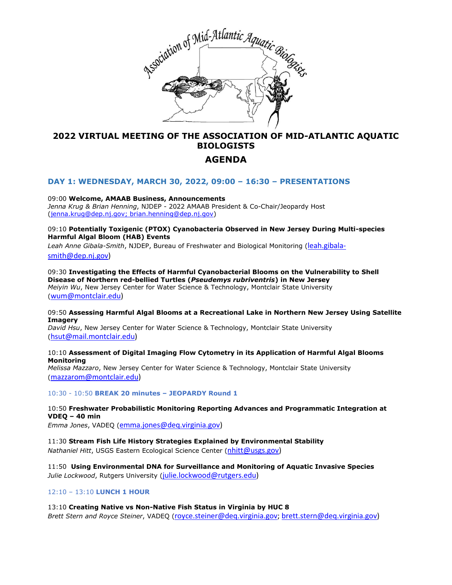

# **2022 VIRTUAL MEETING OF THE ASSOCIATION OF MID-ATLANTIC AQUATIC BIOLOGISTS**

# **AGENDA**

#### **DAY 1: WEDNESDAY, MARCH 30, 2022, 09:00 – 16:30 – PRESENTATIONS**

09:00 **Welcome, AMAAB Business, Announcements** *Jenna Krug & Brian Henning*, NJDEP - 2022 AMAAB President & Co-Chair/Jeopardy Host [\(jenna.krug@dep.nj.gov;](mailto:jenna.krug@dep.nj.gov) brian.henning@dep.nj.gov)

09:10 **Potentially Toxigenic (PTOX) Cyanobacteria Observed in New Jersey During Multi-species Harmful Algal Bloom (HAB) Events**

*Leah Anne Gibala-Smith*, NJDEP, Bureau of Freshwater and Biological Monitoring ([leah.gibala](mailto:leah.gibala-smith@dep.nj.gov)[smith@dep.nj.gov\)](mailto:leah.gibala-smith@dep.nj.gov)

09:30 **Investigating the Effects of Harmful Cyanobacterial Blooms on the Vulnerability to Shell Disease of Northern red-bellied Turtles (***Pseudemys rubriventris***) in New Jersey** *Meiyin Wu*, New Jersey Center for Water Science & Technology, Montclair State University ([wum@montclair.edu\)](mailto:wum@montclair.edu)

09:50 **Assessing Harmful Algal Blooms at a Recreational Lake in Northern New Jersey Using Satellite Imagery**

*David Hsu*, New Jersey Center for Water Science & Technology, Montclair State University ([hsut@mail.montclair.edu\)](mailto:hsut@mail.montclair.edu)

10:10 **Assessment of Digital Imaging Flow Cytometry in its Application of Harmful Algal Blooms Monitoring**

*Melissa Mazzaro*, New Jersey Center for Water Science & Technology, Montclair State University ([mazzarom@montclair.edu\)](mailto:mazzarom@montclair.edu)

10:30 - 10:50 **BREAK 20 minutes – JEOPARDY Round 1**

10:50 **Freshwater Probabilistic Monitoring Reporting Advances and Programmatic Integration at VDEQ – 40 min**

*Emma Jones*, VADEQ ([emma.jones@deq.virginia.gov\)](mailto:emma.jones@deq.virginia.gov)

11:30 **Stream Fish Life History Strategies Explained by Environmental Stability** *Nathaniel Hitt*, USGS Eastern Ecological Science Center ([nhitt@usgs.gov\)](mailto:nhitt@usgs.gov)

11:50 **Using Environmental DNA for Surveillance and Monitoring of Aquatic Invasive Species** *Julie Lockwood*, Rutgers University ([julie.lockwood@rutgers.edu\)](mailto:julie.lockwood@rutgers.edu)

#### 12:10 – 13:10 **LUNCH 1 HOUR**

13:10 **Creating Native vs Non-Native Fish Status in Virginia by HUC 8** *Brett Stern and Royce Steiner*, VADEQ ([royce.steiner@deq.virginia.gov;](mailto:royce.steiner@deq.virginia.gov) [brett.stern@deq.virginia.gov\)](mailto:brett.stern@deq.virginia.gov)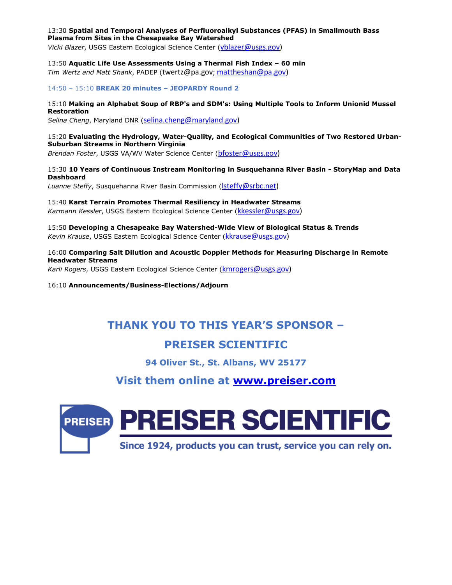#### 13:30 **Spatial and Temporal Analyses of Perfluoroalkyl Substances (PFAS) in Smallmouth Bass Plasma from Sites in the Chesapeake Bay Watershed**

*Vicki Blazer*, USGS Eastern Ecological Science Center ([vblazer@usgs.gov\)](mailto:vblazer@usgs.gov)

13:50 **Aquatic Life Use Assessments Using a Thermal Fish Index – 60 min**

*Tim Wertz and Matt Shank*, PADEP (twertz@pa.gov; [mattheshan@pa.gov\)](mailto:mattheshan@pa.gov)

14:50 – 15:10 **BREAK 20 minutes – JEOPARDY Round 2**

#### 15:10 **Making an Alphabet Soup of RBP's and SDM's: Using Multiple Tools to Inform Unionid Mussel Restoration**

*Selina Cheng*, Maryland DNR ([selina.cheng@maryland.gov\)](mailto:selina.cheng@maryland.gov)

#### 15:20 **Evaluating the Hydrology, Water-Quality, and Ecological Communities of Two Restored Urban-Suburban Streams in Northern Virginia**

*Brendan Foster*, USGS VA/WV Water Science Center ([bfoster@usgs.gov\)](mailto:bfoster@usgs.gov)

#### 15:30 **10 Years of Continuous Instream Monitoring in Susquehanna River Basin - StoryMap and Data Dashboard**

*Luanne Steffy*, Susquehanna River Basin Commission ([lsteffy@srbc.net\)](mailto:lsteffy@srbc.net)

#### 15:40 **Karst Terrain Promotes Thermal Resiliency in Headwater Streams**

*Karmann Kessler*, USGS Eastern Ecological Science Center ([kkessler@usgs.gov\)](mailto:kkessler@usgs.gov)

#### 15:50 **Developing a Chesapeake Bay Watershed-Wide View of Biological Status & Trends** *Kevin Krause*, USGS Eastern Ecological Science Center ([kkrause@usgs.gov\)](mailto:kkrause@usgs.gov)

#### 16:00 **Comparing Salt Dilution and Acoustic Doppler Methods for Measuring Discharge in Remote Headwater Streams**

*Karli Rogers*, USGS Eastern Ecological Science Center ([kmrogers@usgs.gov\)](mailto:kmrogers@usgs.gov)

16:10 **Announcements/Business-Elections/Adjourn**

# **THANK YOU TO THIS YEAR'S SPONSOR –**

# **PREISER SCIENTIFIC**

**94 Oliver St., St. Albans, WV 25177**

# **Visit them online at [www.preiser.com](http://www.preiser.com/)**

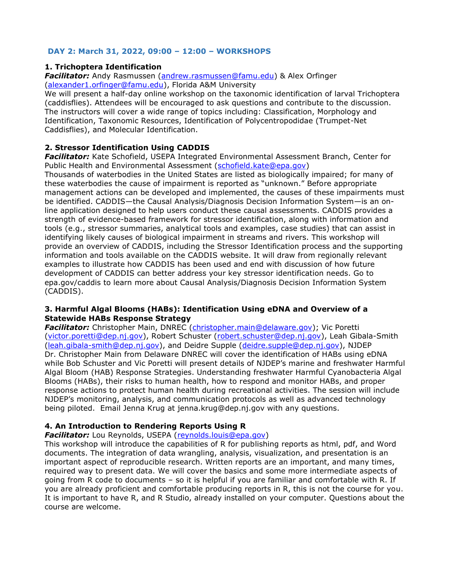# **DAY 2: March 31, 2022, 09:00 – 12:00 – WORKSHOPS**

# **1. Trichoptera Identification**

*Facilitator:* Andy Rasmussen [\(andrew.rasmussen@famu.edu\)](mailto:andrew.rasmussen@famu.edu) & Alex Orfinger [\(alexander1.orfinger@famu.edu\)](mailto:alexander1.orfinger@famu.edu), Florida A&M University

We will present a half-day online workshop on the taxonomic identification of larval Trichoptera (caddisflies). Attendees will be encouraged to ask questions and contribute to the discussion. The instructors will cover a wide range of topics including: Classification, Morphology and Identification, Taxonomic Resources, Identification of Polycentropodidae (Trumpet-Net Caddisflies), and Molecular Identification.

# **2. Stressor Identification Using CADDIS**

*Facilitator:* Kate Schofield, USEPA Integrated Environmental Assessment Branch, Center for Public Health and Environmental Assessment [\(schofield.kate@epa.gov\)](mailto:schofield.kate@epa.gov)

Thousands of waterbodies in the United States are listed as biologically impaired; for many of these waterbodies the cause of impairment is reported as "unknown." Before appropriate management actions can be developed and implemented, the causes of these impairments must be identified. CADDIS—the Causal Analysis/Diagnosis Decision Information System—is an online application designed to help users conduct these causal assessments. CADDIS provides a strength of evidence-based framework for stressor identification, along with information and tools (e.g., stressor summaries, analytical tools and examples, case studies) that can assist in identifying likely causes of biological impairment in streams and rivers. This workshop will provide an overview of CADDIS, including the Stressor Identification process and the supporting information and tools available on the CADDIS website. It will draw from regionally relevant examples to illustrate how CADDIS has been used and end with discussion of how future development of CADDIS can better address your key stressor identification needs. Go to epa.gov/caddis to learn more about Causal Analysis/Diagnosis Decision Information System (CADDIS).

### **3. Harmful Algal Blooms (HABs): Identification Using eDNA and Overview of a Statewide HABs Response Strategy**

*Facilitator:* Christopher Main, DNREC [\(christopher.main@delaware.gov\)](mailto:christopher.main@delaware.gov); Vic Poretti [\(victor.poretti@dep.nj.gov\)](mailto:victor.poretti@dep.nj.gov), Robert Schuster [\(robert.schuster@dep.nj.gov\)](mailto:robert.schuster@dep.nj.gov), Leah Gibala-Smith [\(leah.gibala-smith@dep.nj.gov\)](mailto:leah.gibala-smith@dep.nj.gov), and Deidre Supple [\(deidre.supple@dep.nj.gov\)](mailto:deidre.supple@dep.nj.gov), NJDEP Dr. Christopher Main from Delaware DNREC will cover the identification of HABs using eDNA while Bob Schuster and Vic Poretti will present details of NJDEP's marine and freshwater Harmful Algal Bloom (HAB) Response Strategies. Understanding freshwater Harmful Cyanobacteria Algal Blooms (HABs), their risks to human health, how to respond and monitor HABs, and proper response actions to protect human health during recreational activities. The session will include NJDEP's monitoring, analysis, and communication protocols as well as advanced technology being piloted. Email Jenna Krug at jenna.krug@dep.nj.gov with any questions.

# **4. An Introduction to Rendering Reports Using R**

*Facilitator:* Lou Reynolds, USEPA [\(reynolds.louis@epa.gov\)](mailto:reynolds.louis@epa.gov)

This workshop will introduce the capabilities of R for publishing reports as html, pdf, and Word documents. The integration of data wrangling, analysis, visualization, and presentation is an important aspect of reproducible research. Written reports are an important, and many times, required way to present data. We will cover the basics and some more intermediate aspects of going from R code to documents – so it is helpful if you are familiar and comfortable with R. If you are already proficient and comfortable producing reports in R, this is not the course for you. It is important to have R, and R Studio, already installed on your computer. Questions about the course are welcome.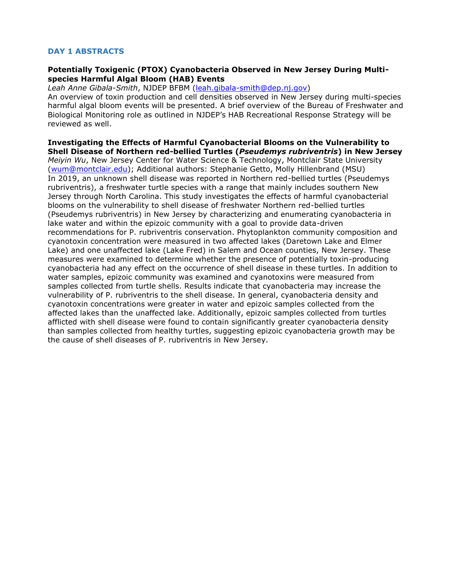# **DAY 1 ABSTRACTS**

### **Potentially Toxigenic (PTOX) Cyanobacteria Observed in New Jersey During Multispecies Harmful Algal Bloom (HAB) Events**

*Leah Anne Gibala-Smith*, NJDEP BFBM [\(leah.gibala-smith@dep.nj.gov\)](mailto:leah.gibala-smith@dep.nj.gov)

An overview of toxin production and cell densities observed in New Jersey during multi-species harmful algal bloom events will be presented. A brief overview of the Bureau of Freshwater and Biological Monitoring role as outlined in NJDEP's HAB Recreational Response Strategy will be reviewed as well.

**Investigating the Effects of Harmful Cyanobacterial Blooms on the Vulnerability to Shell Disease of Northern red-bellied Turtles (***Pseudemys rubriventris***) in New Jersey** *Meiyin Wu*, New Jersey Center for Water Science & Technology, Montclair State University [\(wum@montclair.edu\)](mailto:wum@montclair.edu); Additional authors: Stephanie Getto, Molly Hillenbrand (MSU) In 2019, an unknown shell disease was reported in Northern red-bellied turtles (Pseudemys rubriventris), a freshwater turtle species with a range that mainly includes southern New Jersey through North Carolina. This study investigates the effects of harmful cyanobacterial blooms on the vulnerability to shell disease of freshwater Northern red-bellied turtles (Pseudemys rubriventris) in New Jersey by characterizing and enumerating cyanobacteria in lake water and within the epizoic community with a goal to provide data-driven recommendations for P. rubriventris conservation. Phytoplankton community composition and cyanotoxin concentration were measured in two affected lakes (Daretown Lake and Elmer Lake) and one unaffected lake (Lake Fred) in Salem and Ocean counties, New Jersey. These measures were examined to determine whether the presence of potentially toxin-producing cyanobacteria had any effect on the occurrence of shell disease in these turtles. In addition to water samples, epizoic community was examined and cyanotoxins were measured from samples collected from turtle shells. Results indicate that cyanobacteria may increase the vulnerability of P. rubriventris to the shell disease. In general, cyanobacteria density and cyanotoxin concentrations were greater in water and epizoic samples collected from the affected lakes than the unaffected lake. Additionally, epizoic samples collected from turtles afflicted with shell disease were found to contain significantly greater cyanobacteria density than samples collected from healthy turtles, suggesting epizoic cyanobacteria growth may be the cause of shell diseases of P. rubriventris in New Jersey.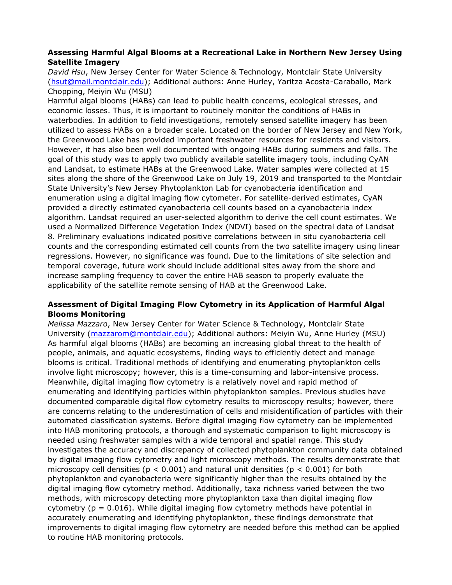## **Assessing Harmful Algal Blooms at a Recreational Lake in Northern New Jersey Using Satellite Imagery**

*David Hsu*, New Jersey Center for Water Science & Technology, Montclair State University [\(hsut@mail.montclair.edu\)](mailto:hsut@mail.montclair.edu); Additional authors: Anne Hurley, Yaritza Acosta-Caraballo, Mark Chopping, Meiyin Wu (MSU)

Harmful algal blooms (HABs) can lead to public health concerns, ecological stresses, and economic losses. Thus, it is important to routinely monitor the conditions of HABs in waterbodies. In addition to field investigations, remotely sensed satellite imagery has been utilized to assess HABs on a broader scale. Located on the border of New Jersey and New York, the Greenwood Lake has provided important freshwater resources for residents and visitors. However, it has also been well documented with ongoing HABs during summers and falls. The goal of this study was to apply two publicly available satellite imagery tools, including CyAN and Landsat, to estimate HABs at the Greenwood Lake. Water samples were collected at 15 sites along the shore of the Greenwood Lake on July 19, 2019 and transported to the Montclair State University's New Jersey Phytoplankton Lab for cyanobacteria identification and enumeration using a digital imaging flow cytometer. For satellite-derived estimates, CyAN provided a directly estimated cyanobacteria cell counts based on a cyanobacteria index algorithm. Landsat required an user-selected algorithm to derive the cell count estimates. We used a Normalized Difference Vegetation Index (NDVI) based on the spectral data of Landsat 8. Preliminary evaluations indicated positive correlations between in situ cyanobacteria cell counts and the corresponding estimated cell counts from the two satellite imagery using linear regressions. However, no significance was found. Due to the limitations of site selection and temporal coverage, future work should include additional sites away from the shore and increase sampling frequency to cover the entire HAB season to properly evaluate the applicability of the satellite remote sensing of HAB at the Greenwood Lake.

# **Assessment of Digital Imaging Flow Cytometry in its Application of Harmful Algal Blooms Monitoring**

*Melissa Mazzaro*, New Jersey Center for Water Science & Technology, Montclair State University [\(mazzarom@montclair.edu\)](mailto:mazzarom@montclair.edu); Additional authors: Meiyin Wu, Anne Hurley (MSU) As harmful algal blooms (HABs) are becoming an increasing global threat to the health of people, animals, and aquatic ecosystems, finding ways to efficiently detect and manage blooms is critical. Traditional methods of identifying and enumerating phytoplankton cells involve light microscopy; however, this is a time-consuming and labor-intensive process. Meanwhile, digital imaging flow cytometry is a relatively novel and rapid method of enumerating and identifying particles within phytoplankton samples. Previous studies have documented comparable digital flow cytometry results to microscopy results; however, there are concerns relating to the underestimation of cells and misidentification of particles with their automated classification systems. Before digital imaging flow cytometry can be implemented into HAB monitoring protocols, a thorough and systematic comparison to light microscopy is needed using freshwater samples with a wide temporal and spatial range. This study investigates the accuracy and discrepancy of collected phytoplankton community data obtained by digital imaging flow cytometry and light microscopy methods. The results demonstrate that microscopy cell densities ( $p < 0.001$ ) and natural unit densities ( $p < 0.001$ ) for both phytoplankton and cyanobacteria were significantly higher than the results obtained by the digital imaging flow cytometry method. Additionally, taxa richness varied between the two methods, with microscopy detecting more phytoplankton taxa than digital imaging flow cytometry ( $p = 0.016$ ). While digital imaging flow cytometry methods have potential in accurately enumerating and identifying phytoplankton, these findings demonstrate that improvements to digital imaging flow cytometry are needed before this method can be applied to routine HAB monitoring protocols.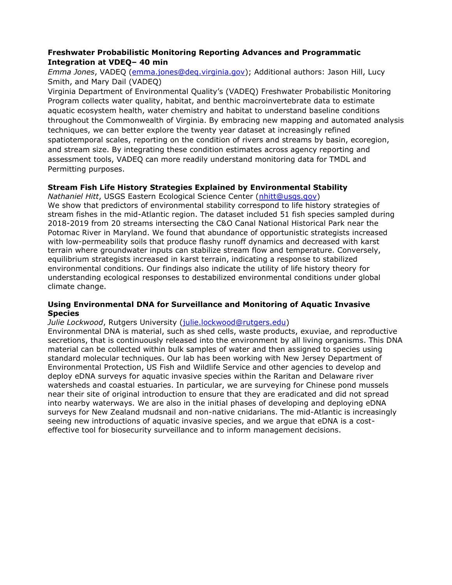# **Freshwater Probabilistic Monitoring Reporting Advances and Programmatic Integration at VDEQ– 40 min**

*Emma Jones*, VADEQ [\(emma.jones@deq.virginia.gov\)](mailto:emma.jones@deq.virginia.gov); Additional authors: Jason Hill, Lucy Smith, and Mary Dail (VADEQ)

Virginia Department of Environmental Quality's (VADEQ) Freshwater Probabilistic Monitoring Program collects water quality, habitat, and benthic macroinvertebrate data to estimate aquatic ecosystem health, water chemistry and habitat to understand baseline conditions throughout the Commonwealth of Virginia. By embracing new mapping and automated analysis techniques, we can better explore the twenty year dataset at increasingly refined spatiotemporal scales, reporting on the condition of rivers and streams by basin, ecoregion, and stream size. By integrating these condition estimates across agency reporting and assessment tools, VADEQ can more readily understand monitoring data for TMDL and Permitting purposes.

# **Stream Fish Life History Strategies Explained by Environmental Stability**

*Nathaniel Hitt*, USGS Eastern Ecological Science Center [\(nhitt@usgs.gov\)](mailto:nhitt@usgs.gov)

We show that predictors of environmental stability correspond to life history strategies of stream fishes in the mid-Atlantic region. The dataset included 51 fish species sampled during 2018-2019 from 20 streams intersecting the C&O Canal National Historical Park near the Potomac River in Maryland. We found that abundance of opportunistic strategists increased with low-permeability soils that produce flashy runoff dynamics and decreased with karst terrain where groundwater inputs can stabilize stream flow and temperature. Conversely, equilibrium strategists increased in karst terrain, indicating a response to stabilized environmental conditions. Our findings also indicate the utility of life history theory for understanding ecological responses to destabilized environmental conditions under global climate change.

### **Using Environmental DNA for Surveillance and Monitoring of Aquatic Invasive Species**

*Julie Lockwood*, Rutgers University [\(julie.lockwood@rutgers.edu\)](mailto:julie.lockwood@rutgers.edu)

Environmental DNA is material, such as shed cells, waste products, exuviae, and reproductive secretions, that is continuously released into the environment by all living organisms. This DNA material can be collected within bulk samples of water and then assigned to species using standard molecular techniques. Our lab has been working with New Jersey Department of Environmental Protection, US Fish and Wildlife Service and other agencies to develop and deploy eDNA surveys for aquatic invasive species within the Raritan and Delaware river watersheds and coastal estuaries. In particular, we are surveying for Chinese pond mussels near their site of original introduction to ensure that they are eradicated and did not spread into nearby waterways. We are also in the initial phases of developing and deploying eDNA surveys for New Zealand mudsnail and non-native cnidarians. The mid-Atlantic is increasingly seeing new introductions of aquatic invasive species, and we argue that eDNA is a costeffective tool for biosecurity surveillance and to inform management decisions.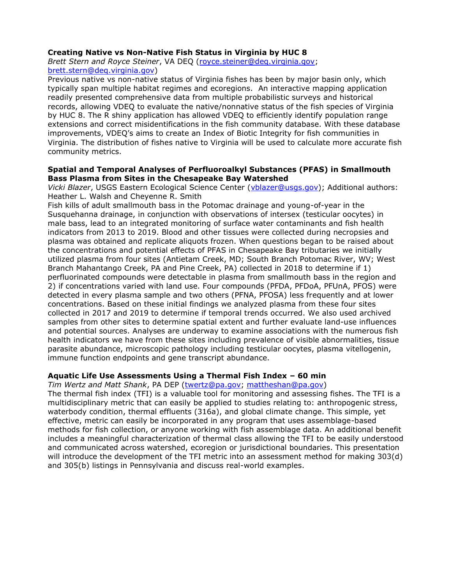#### **Creating Native vs Non-Native Fish Status in Virginia by HUC 8**

*Brett Stern and Royce Steiner*, VA DEQ [\(royce.steiner@deq.virginia.gov;](mailto:royce.steiner@deq.virginia.gov) [brett.stern@deq.virginia.gov\)](mailto:brett.stern@deq.virginia.gov)

Previous native vs non-native status of Virginia fishes has been by major basin only, which typically span multiple habitat regimes and ecoregions. An interactive mapping application readily presented comprehensive data from multiple probabilistic surveys and historical records, allowing VDEQ to evaluate the native/nonnative status of the fish species of Virginia by HUC 8. The R shiny application has allowed VDEQ to efficiently identify population range extensions and correct misidentifications in the fish community database. With these database improvements, VDEQ's aims to create an Index of Biotic Integrity for fish communities in Virginia. The distribution of fishes native to Virginia will be used to calculate more accurate fish community metrics.

#### **Spatial and Temporal Analyses of Perfluoroalkyl Substances (PFAS) in Smallmouth Bass Plasma from Sites in the Chesapeake Bay Watershed**

*Vicki Blazer*, USGS Eastern Ecological Science Center [\(vblazer@usgs.gov\)](mailto:vblazer@usgs.gov); Additional authors: Heather L. Walsh and Cheyenne R. Smith

Fish kills of adult smallmouth bass in the Potomac drainage and young-of-year in the Susquehanna drainage, in conjunction with observations of intersex (testicular oocytes) in male bass, lead to an integrated monitoring of surface water contaminants and fish health indicators from 2013 to 2019. Blood and other tissues were collected during necropsies and plasma was obtained and replicate aliquots frozen. When questions began to be raised about the concentrations and potential effects of PFAS in Chesapeake Bay tributaries we initially utilized plasma from four sites (Antietam Creek, MD; South Branch Potomac River, WV; West Branch Mahantango Creek, PA and Pine Creek, PA) collected in 2018 to determine if 1) perfluorinated compounds were detectable in plasma from smallmouth bass in the region and 2) if concentrations varied with land use. Four compounds (PFDA, PFDoA, PFUnA, PFOS) were detected in every plasma sample and two others (PFNA, PFOSA) less frequently and at lower concentrations. Based on these initial findings we analyzed plasma from these four sites collected in 2017 and 2019 to determine if temporal trends occurred. We also used archived samples from other sites to determine spatial extent and further evaluate land-use influences and potential sources. Analyses are underway to examine associations with the numerous fish health indicators we have from these sites including prevalence of visible abnormalities, tissue parasite abundance, microscopic pathology including testicular oocytes, plasma vitellogenin, immune function endpoints and gene transcript abundance.

### **Aquatic Life Use Assessments Using a Thermal Fish Index – 60 min**

*Tim Wertz and Matt Shank*, PA DEP [\(twertz@pa.gov;](mailto:twertz@pa.gov) [mattheshan@pa.gov\)](mailto:mattheshan@pa.gov)

The thermal fish index (TFI) is a valuable tool for monitoring and assessing fishes. The TFI is a multidisciplinary metric that can easily be applied to studies relating to: anthropogenic stress, waterbody condition, thermal effluents (316a), and global climate change. This simple, yet effective, metric can easily be incorporated in any program that uses assemblage-based methods for fish collection, or anyone working with fish assemblage data. An additional benefit includes a meaningful characterization of thermal class allowing the TFI to be easily understood and communicated across watershed, ecoregion or jurisdictional boundaries. This presentation will introduce the development of the TFI metric into an assessment method for making 303(d) and 305(b) listings in Pennsylvania and discuss real-world examples.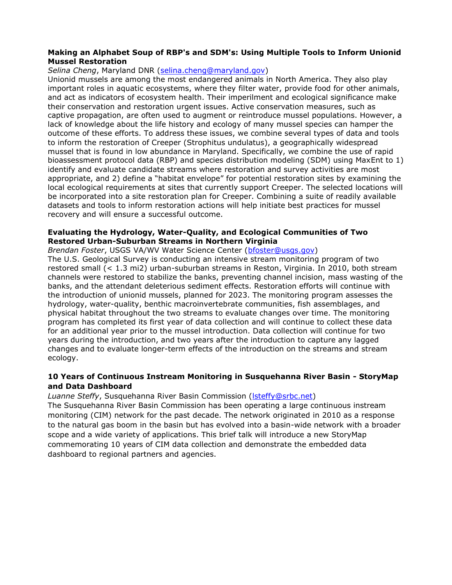### **Making an Alphabet Soup of RBP's and SDM's: Using Multiple Tools to Inform Unionid Mussel Restoration**

## *Selina Cheng*, Maryland DNR [\(selina.cheng@maryland.gov\)](mailto:selina.cheng@maryland.gov)

Unionid mussels are among the most endangered animals in North America. They also play important roles in aquatic ecosystems, where they filter water, provide food for other animals, and act as indicators of ecosystem health. Their imperilment and ecological significance make their conservation and restoration urgent issues. Active conservation measures, such as captive propagation, are often used to augment or reintroduce mussel populations. However, a lack of knowledge about the life history and ecology of many mussel species can hamper the outcome of these efforts. To address these issues, we combine several types of data and tools to inform the restoration of Creeper (Strophitus undulatus), a geographically widespread mussel that is found in low abundance in Maryland. Specifically, we combine the use of rapid bioassessment protocol data (RBP) and species distribution modeling (SDM) using MaxEnt to 1) identify and evaluate candidate streams where restoration and survey activities are most appropriate, and 2) define a "habitat envelope" for potential restoration sites by examining the local ecological requirements at sites that currently support Creeper. The selected locations will be incorporated into a site restoration plan for Creeper. Combining a suite of readily available datasets and tools to inform restoration actions will help initiate best practices for mussel recovery and will ensure a successful outcome.

### **Evaluating the Hydrology, Water-Quality, and Ecological Communities of Two Restored Urban-Suburban Streams in Northern Virginia**

*Brendan Foster*, USGS VA/WV Water Science Center [\(bfoster@usgs.gov\)](mailto:bfoster@usgs.gov)

The U.S. Geological Survey is conducting an intensive stream monitoring program of two restored small (< 1.3 mi2) urban-suburban streams in Reston, Virginia. In 2010, both stream channels were restored to stabilize the banks, preventing channel incision, mass wasting of the banks, and the attendant deleterious sediment effects. Restoration efforts will continue with the introduction of unionid mussels, planned for 2023. The monitoring program assesses the hydrology, water-quality, benthic macroinvertebrate communities, fish assemblages, and physical habitat throughout the two streams to evaluate changes over time. The monitoring program has completed its first year of data collection and will continue to collect these data for an additional year prior to the mussel introduction. Data collection will continue for two years during the introduction, and two years after the introduction to capture any lagged changes and to evaluate longer-term effects of the introduction on the streams and stream ecology.

# **10 Years of Continuous Instream Monitoring in Susquehanna River Basin - StoryMap and Data Dashboard**

**Luanne Steffy, Susquehanna River Basin Commission (Steffy@srbc.net)** 

The Susquehanna River Basin Commission has been operating a large continuous instream monitoring (CIM) network for the past decade. The network originated in 2010 as a response to the natural gas boom in the basin but has evolved into a basin-wide network with a broader scope and a wide variety of applications. This brief talk will introduce a new StoryMap commemorating 10 years of CIM data collection and demonstrate the embedded data dashboard to regional partners and agencies.